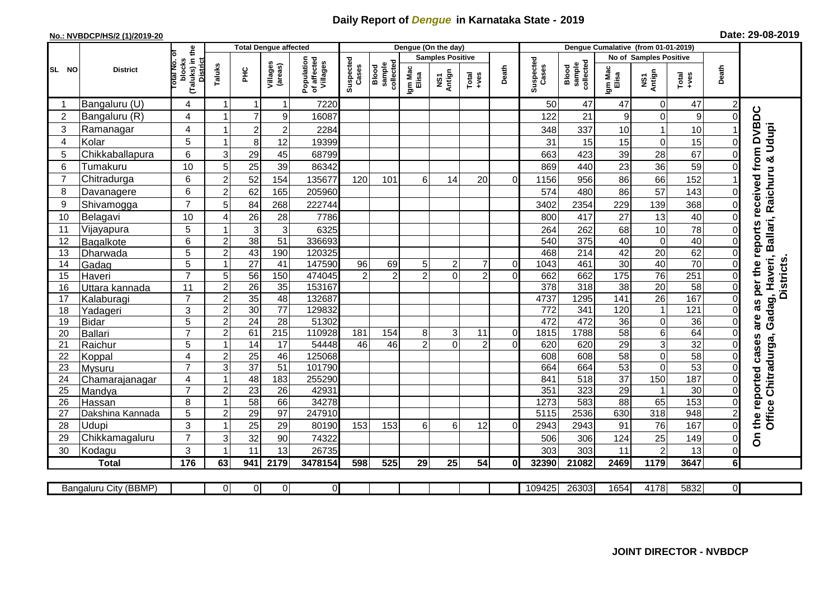## **Daily Report of** *Dengue* **in Karnataka State - 2019**

## **No.: NVBDCP/HS/2 (1)/2019-20 Date: 29-08-2019**

|                |                            |                                       |                                |                         | <b>Total Dengue affected</b> |                                       |                    |                              |                  | Dengue (On the day)     |                |                |                    |                              | Dengue Cumalative (from 01-01-2019) |                               |                  |                |                                                        |
|----------------|----------------------------|---------------------------------------|--------------------------------|-------------------------|------------------------------|---------------------------------------|--------------------|------------------------------|------------------|-------------------------|----------------|----------------|--------------------|------------------------------|-------------------------------------|-------------------------------|------------------|----------------|--------------------------------------------------------|
|                |                            | Ō                                     |                                |                         |                              |                                       |                    |                              |                  | <b>Samples Positive</b> |                |                |                    |                              |                                     | <b>No of Samples Positive</b> |                  |                |                                                        |
| SL NO          | <b>District</b>            | (Taluks) in the<br>blocks<br>otal No. | Taluks                         | ЭHС                     | Villages<br>(areas)          | Population<br>of affected<br>Villages | Suspected<br>Cases | Blood<br>sample<br>collected | Igm Mac<br>Elisa | NS1<br>Antign           | Total<br>+ves  | Death          | Suspected<br>Cases | sample<br>collected<br>Blood | Igm Mac<br>Elisa                    | NS1<br>Antign                 | Total<br>+ves    | Death          |                                                        |
|                | Bangaluru (U)              | 4                                     | 1                              | 1                       | -1                           | 7220                                  |                    |                              |                  |                         |                |                | 50                 | 47                           | 47                                  | $\Omega$                      | 47               |                |                                                        |
| $\overline{c}$ | Bangaluru (R)              | 4                                     | 1                              | $\overline{7}$          | $\boldsymbol{9}$             | 16087                                 |                    |                              |                  |                         |                |                | 122                | 21                           | $\boldsymbol{9}$                    | $\mathbf 0$                   | 9                | $\Omega$       |                                                        |
| 3              | Ramanagar                  | 4                                     | 1                              | $\overline{\mathbf{c}}$ | 2                            | 2284                                  |                    |                              |                  |                         |                |                | 348                | 337                          | 10                                  | -1                            | 10               |                | as per the reports received from DVBDC<br><b>Udupi</b> |
| $\overline{4}$ | Kolar                      | 5                                     | $\overline{1}$                 | 8                       | 12                           | 19399                                 |                    |                              |                  |                         |                |                | 31                 | 15                           | 15                                  | $\mathbf 0$                   | 15               | $\Omega$       |                                                        |
| 5              | Chikkaballapura            | 6                                     | 3                              | 29                      | 45                           | 68799                                 |                    |                              |                  |                         |                |                | 663                | 423                          | 39                                  | 28                            | 67               |                |                                                        |
| 6              | Tumakuru                   | 10                                    | 5                              | 25                      | 39                           | 86342                                 |                    |                              |                  |                         |                |                | 869                | 440                          | 23                                  | 36                            | 59               |                |                                                        |
| $\overline{7}$ | Chitradurga                | 6                                     | $\overline{2}$                 | 52                      | 154                          | 135677                                | 120                | 101                          | 6                | 14                      | 20             | $\Omega$       | 1156               | 956                          | 86                                  | 66                            | 152              |                |                                                        |
| 8              | Davanagere                 | 6                                     | $\overline{2}$                 | 62                      | 165                          | 205960                                |                    |                              |                  |                         |                |                | 574                | 480                          | 86                                  | 57                            | 143              | 0              |                                                        |
| 9              | Shivamogga                 | $\overline{7}$                        | 5                              | 84                      | 268                          | 222744                                |                    |                              |                  |                         |                |                | 3402               | 2354                         | 229                                 | 139                           | 368              | $\Omega$       | Raichuru &                                             |
| 10             | Belagavi                   | 10                                    | $\overline{4}$                 | $\overline{26}$         | 28                           | 7786                                  |                    |                              |                  |                         |                |                | 800                | 417                          | 27                                  | 13                            | 40               | $\Omega$       |                                                        |
| 11             | Vijayapura                 | 5                                     | 1                              | 3                       | $\mathbf{3}$                 | 6325                                  |                    |                              |                  |                         |                |                | 264                | 262                          | 68                                  | 10                            | 78               |                | Gadag, Haveri, Ballari,                                |
| 12             | Bagalkote                  | 6                                     | $\overline{2}$                 | 38                      | 51                           | 336693                                |                    |                              |                  |                         |                |                | 540                | $\overline{375}$             | 40                                  | $\mathbf 0$                   | 40               | $\Omega$       |                                                        |
| 13             | Dharwada                   | 5                                     | $\overline{2}$                 | 43                      | 190                          | 120325                                |                    |                              |                  |                         |                |                | 468                | $\overline{214}$             | 42                                  | $\overline{20}$               | 62               | $\overline{0}$ |                                                        |
| 14             | Gadag                      | $\overline{5}$                        | $\mathbf{1}$                   | $\overline{27}$         | 41                           | 147590                                | 96                 | 69                           | 5 <sub>l</sub>   | $\overline{\mathbf{c}}$ | $\overline{7}$ | $\pmb{0}$      | 1043               | 461                          | 30                                  | 40                            | 70               | 0              |                                                        |
| 15             | Haveri                     | $\overline{7}$                        | 5                              | 56                      | 150                          | 474045                                | $\mathfrak{p}$     | $\overline{2}$               | $\overline{2}$   | $\Omega$                | $\overline{2}$ | $\overline{0}$ | 662                | 662                          | 175                                 | 76                            | $\overline{251}$ | $\Omega$       |                                                        |
| 16             | Uttara kannada             | 11                                    | $\overline{2}$                 | $\overline{26}$         | 35                           | 153167                                |                    |                              |                  |                         |                |                | $\overline{378}$   | 318                          | $\overline{38}$                     | $\overline{20}$               | 58               | $\Omega$       | <b>Districts</b>                                       |
| 17             | Kalaburagi                 | $\overline{7}$                        | $\overline{2}$                 | 35                      | 48                           | 132687                                |                    |                              |                  |                         |                |                | 4737               | 1295                         | $\frac{141}{1}$                     | $\overline{26}$               | 167              | $\overline{0}$ |                                                        |
| 18             | Yadageri                   | 3                                     | $\overline{2}$                 | 30                      | 77                           | 129832                                |                    |                              |                  |                         |                |                | 772                | 341                          | 120                                 | $\mathbf 1$                   | 121              |                |                                                        |
| 19             | <b>Bidar</b>               | 5                                     | $\boldsymbol{2}$               | $\overline{24}$         | 28                           | 51302                                 |                    |                              |                  |                         |                |                | 472                | 472                          | 36                                  | $\mathbf 0$                   | 36               | $\Omega$       | are                                                    |
| 20             | <b>Ballari</b>             | $\overline{7}$                        | $\overline{c}$                 | 61                      | $\overline{215}$             | 110928                                | 181                | 154                          | 8                | 3                       | 11             | $\overline{0}$ | 1815               | 1788                         | 58                                  | 6                             | 64               | $\Omega$       |                                                        |
| 21             | Raichur                    | 5                                     | $\overline{1}$                 | 14                      | $\overline{17}$              | 54448                                 | 46                 | $\overline{46}$              | $\overline{2}$   | $\mathbf 0$             | $\overline{2}$ | $\overline{0}$ | 620                | 620                          | 29                                  | 3                             | 32               |                | cases                                                  |
| 22             | Koppal                     | $\overline{4}$<br>$\overline{7}$      | $\overline{2}$                 | $\overline{25}$         | 46                           | 125068                                |                    |                              |                  |                         |                |                | 608                | 608                          | 58                                  | $\mathbf 0$                   | $\overline{58}$  |                |                                                        |
| 23             | Mysuru                     |                                       | $\overline{3}$<br>$\mathbf{1}$ | $\overline{37}$<br>48   | $\overline{51}$              | 101790                                |                    |                              |                  |                         |                |                | 664<br>841         | 664<br>$\overline{518}$      | 53<br>$\overline{37}$               | $\Omega$                      | 53<br>187        | $\Omega$       | Chitradurga,                                           |
| 24<br>25       | Chamarajanagar             | 4<br>$\overline{7}$                   | $\overline{2}$                 | $\overline{23}$         | 183<br>26                    | 255290<br>42931                       |                    |                              |                  |                         |                |                | 351                | 323                          | 29                                  | 150<br>-1                     | 30               | 0<br>$\Omega$  |                                                        |
| 26             | Mandya                     | 8                                     | 1                              | 58                      | 66                           | 34278                                 |                    |                              |                  |                         |                |                | 1273               | 583                          | 88                                  | 65                            | 153              | $\Omega$       |                                                        |
| 27             | Hassan<br>Dakshina Kannada | 5                                     | $\overline{2}$                 | 29                      | $\overline{97}$              | 247910                                |                    |                              |                  |                         |                |                | 5115               | 2536                         | 630                                 | $\overline{318}$              | 948              |                |                                                        |
| 28             | Udupi                      | 3                                     | $\mathbf{1}$                   | 25                      | 29                           | 80190                                 | 153                | 153                          | 6                | 6                       | 12             | $\Omega$       | 2943               | 2943                         | 91                                  | 76                            | 167              | Ωl             | the reported<br>Office                                 |
| 29             | Chikkamagaluru             | $\overline{7}$                        | 3                              | 32                      | 90                           | 74322                                 |                    |                              |                  |                         |                |                | 506                | 306                          | 124                                 | 25                            | 149              | Ωl             | δ                                                      |
| 30             | Kodagu                     | 3                                     | 1                              | 11                      | 13                           | 26735                                 |                    |                              |                  |                         |                |                | 303                | 303                          | 11                                  | $\overline{2}$                | 13               | $\Omega$       |                                                        |
|                | <b>Total</b>               | 176                                   | 63                             | 941                     | 2179                         | 3478154                               | 598                | 525                          | 29               | 25                      | 54             | 0              | 32390              | 21082                        | 2469                                | 1179                          | 3647             | 6I             |                                                        |
|                |                            |                                       |                                |                         |                              |                                       |                    |                              |                  |                         |                |                |                    |                              |                                     |                               |                  |                |                                                        |
|                | Bangaluru City (BBMP)      |                                       | $\Omega$                       | $\overline{0}$          | $\overline{0}$               | $\overline{0}$                        |                    |                              |                  |                         |                |                | 109425             | 26303                        | 1654                                | 4178                          | 5832             | $\overline{0}$ |                                                        |